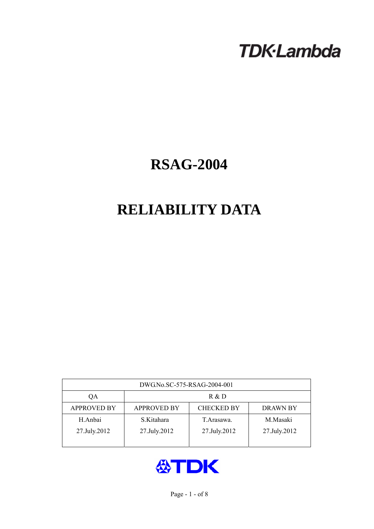# **TDK-Lambda**

## **RSAG-2004**

## **RELIABILITY DATA**

| DWG.No.SC-575-RSAG-2004-001 |                                                            |              |              |  |  |  |
|-----------------------------|------------------------------------------------------------|--------------|--------------|--|--|--|
| QA                          | R & D                                                      |              |              |  |  |  |
| <b>APPROVED BY</b>          | <b>APPROVED BY</b><br><b>CHECKED BY</b><br><b>DRAWN BY</b> |              |              |  |  |  |
| H.Anbai                     | S.Kitahara                                                 | T. Arasawa.  | M.Masaki     |  |  |  |
| 27.July.2012                | 27.July.2012                                               | 27.July.2012 | 27.July.2012 |  |  |  |
|                             |                                                            |              |              |  |  |  |

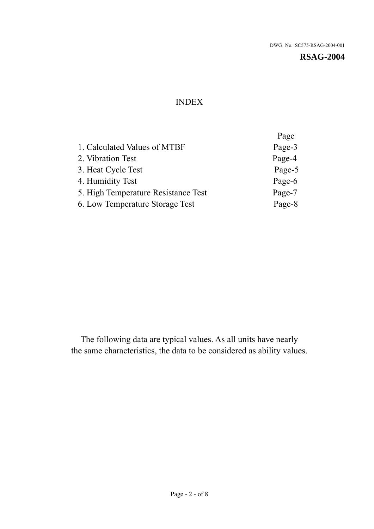## INDEX

|                                     | Page   |
|-------------------------------------|--------|
| 1. Calculated Values of MTBF        | Page-3 |
| 2. Vibration Test                   | Page-4 |
| 3. Heat Cycle Test                  | Page-5 |
| 4. Humidity Test                    | Page-6 |
| 5. High Temperature Resistance Test | Page-7 |
| 6. Low Temperature Storage Test     | Page-8 |

The following data are typical values. As all units have nearly the same characteristics, the data to be considered as ability values.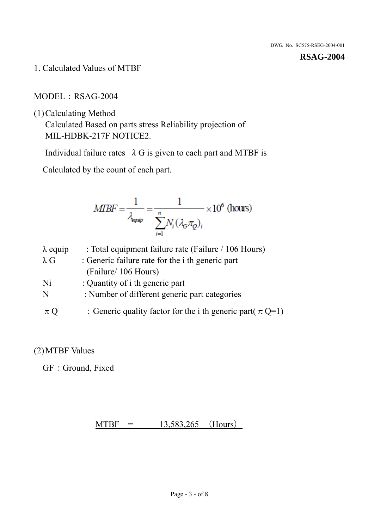1. Calculated Values of MTBF

MODEL: RSAG-2004

(1)Calculating Method

Calculated Based on parts stress Reliability projection of MIL-HDBK-217F NOTICE2.

Individual failure rates  $\lambda$  G is given to each part and MTBF is

Calculated by the count of each part.

$$
MIBF = \frac{1}{\lambda_{\text{expap}}} = \frac{1}{\sum_{i=1}^{n} N_i (\lambda_{\text{G}} \pi_Q)_i} \times 10^6 \text{ (hours)}
$$

| $\lambda$ equip | : Total equipment failure rate (Failure / 106 Hours)            |
|-----------------|-----------------------------------------------------------------|
| $\lambda$ G     | : Generic failure rate for the <i>i</i> th generic part         |
|                 | (Failure/ 106 Hours)                                            |
| Ni              | : Quantity of i th generic part                                 |
| N               | : Number of different generic part categories                   |
| $\pi Q$         | : Generic quality factor for the i th generic part( $\pi Q=1$ ) |

## (2)MTBF Values

GF: Ground, Fixed

 $MTBF = 13,583,265$  (Hours)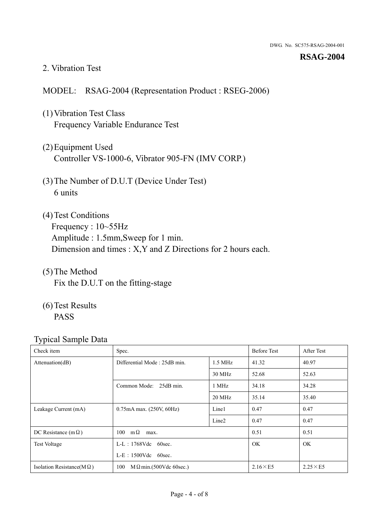#### 2. Vibration Test

## MODEL: RSAG-2004 (Representation Product : RSEG-2006)

- (1)Vibration Test Class Frequency Variable Endurance Test
- (2)Equipment Used Controller VS-1000-6, Vibrator 905-FN (IMV CORP.)
- (3)The Number of D.U.T (Device Under Test) 6 units
- (4) Test Conditions Frequency : 10~55Hz Amplitude : 1.5mm,Sweep for 1 min. Dimension and times : X,Y and Z Directions for 2 hours each.
- (5)The Method Fix the D.U.T on the fitting-stage
- (6)Test Results PASS

| Check item                        | Spec.                                |                   | <b>Before Test</b> | <b>After Test</b> |
|-----------------------------------|--------------------------------------|-------------------|--------------------|-------------------|
| Attenuation(dB)                   | Differential Mode: 25dB min.         | $1.5$ MHz         | 41.32              | 40.97             |
|                                   |                                      | 30 MHz            | 52.68              | 52.63             |
|                                   | Common Mode: 25dB min.               | 1 MHz             | 34.18              | 34.28             |
|                                   |                                      | 20 MHz            | 35.14              | 35.40             |
| Leakage Current (mA)              | $0.75mA$ max. $(250V, 60Hz)$         | Line1             | 0.47               | 0.47              |
|                                   |                                      | Line <sub>2</sub> | 0.47               | 0.47              |
| DC Resistance (m $\Omega$ )       | $100 \text{ m}\Omega$<br>max.        |                   | 0.51               | 0.51              |
| <b>Test Voltage</b>               | $L-L$ : 1768Vdc 60sec.               |                   | OK                 | OK                |
|                                   | $L-E$ : 1500Vdc 60sec.               |                   |                    |                   |
| Isolation Resistance(M $\Omega$ ) | 100<br>$M\Omega$ min.(500Vdc 60sec.) |                   | $2.16\times E5$    | $2.25\times E5$   |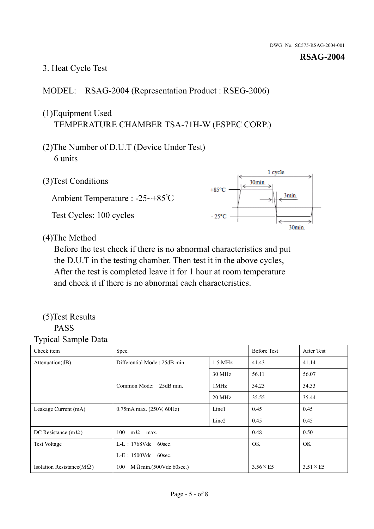## 3. Heat Cycle Test

## MODEL: RSAG-2004 (Representation Product : RSEG-2006)

## (1)Equipment Used TEMPERATURE CHAMBER TSA-71H-W (ESPEC CORP.)

- (2)The Number of D.U.T (Device Under Test) 6 units
- 1 cycle (3)Test Conditions 30<sub>min</sub>  $+85^{\circ}$ C 3min. Ambient Temperature : -25~+85℃ Test Cycles: 100 cycles  $-25^{\circ}$ C 30min.

(4)The Method

Before the test check if there is no abnormal characteristics and put the D.U.T in the testing chamber. Then test it in the above cycles, After the test is completed leave it for 1 hour at room temperature and check it if there is no abnormal each characteristics.

#### (5)Test Results PASS

| ╯┸<br>Check item                  | Spec.                                |                   | <b>Before Test</b> | After Test      |
|-----------------------------------|--------------------------------------|-------------------|--------------------|-----------------|
| Attention(dB)                     | Differential Mode: 25dB min.         | $1.5$ MHz         | 41.43              | 41.14           |
|                                   |                                      | 30 MHz            | 56.11              | 56.07           |
|                                   | Common Mode: 25dB min.               | 1MHz              | 34.23              | 34.33           |
|                                   |                                      | 20 MHz            | 35.55              | 35.44           |
| Leakage Current (mA)              | 0.75mA max. (250V, 60Hz)             | Line1             | 0.45               | 0.45            |
|                                   |                                      | Line <sub>2</sub> | 0.45               | 0.45            |
| DC Resistance (m $\Omega$ )       | $100 \quad m\Omega$<br>max.          |                   | 0.48               | 0.50            |
| <b>Test Voltage</b>               | $L-L$ : 1768Vdc 60sec.               |                   | OK.                | OK.             |
|                                   | $L-E$ : 1500Vdc 60sec.               |                   |                    |                 |
| Isolation Resistance(M $\Omega$ ) | 100<br>$M\Omega$ min.(500Vdc 60sec.) |                   | $3.56\times E5$    | $3.51\times E5$ |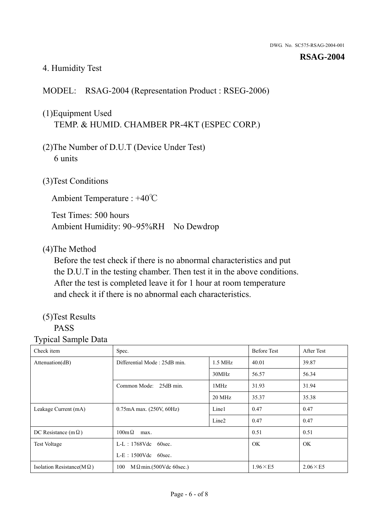## 4. Humidity Test

## MODEL: RSAG-2004 (Representation Product : RSEG-2006)

## (1)Equipment Used TEMP. & HUMID. CHAMBER PR-4KT (ESPEC CORP.)

- (2)The Number of D.U.T (Device Under Test) 6 units
- (3)Test Conditions

Ambient Temperature : +40℃

Test Times: 500 hours Ambient Humidity: 90~95%RH No Dewdrop

## (4)The Method

Before the test check if there is no abnormal characteristics and put the D.U.T in the testing chamber. Then test it in the above conditions. After the test is completed leave it for 1 hour at room temperature and check it if there is no abnormal each characteristics.

## (5)Test Results

## PASS

| Check item                        | Spec.                                     |                   | <b>Before Test</b> | After Test      |
|-----------------------------------|-------------------------------------------|-------------------|--------------------|-----------------|
| Attenuation(dB)                   | Differential Mode: 25dB min.<br>$1.5$ MHz |                   | 40.01              | 39.87           |
|                                   |                                           | 30MHz             | 56.57              | 56.34           |
|                                   | Common Mode: 25dB min.                    | 1MHz              | 31.93              | 31.94           |
|                                   |                                           | 20 MHz            | 35.37              | 35.38           |
| Leakage Current (mA)              | 0.75mA max. (250V, 60Hz)                  | Line1             | 0.47               | 0.47            |
|                                   |                                           | Line <sub>2</sub> | 0.47               | 0.47            |
| DC Resistance (m $\Omega$ )       | $100 \text{m}\,\Omega$<br>max.            |                   | 0.51               | 0.51            |
| <b>Test Voltage</b>               | $L-L$ : 1768Vdc 60sec.                    |                   | OK.                | OK.             |
|                                   | $L-E$ : 1500Vdc 60sec.                    |                   |                    |                 |
| Isolation Resistance(M $\Omega$ ) | $M \Omega$ min.(500Vdc 60sec.)<br>100     |                   | $1.96\times E5$    | $2.06\times E5$ |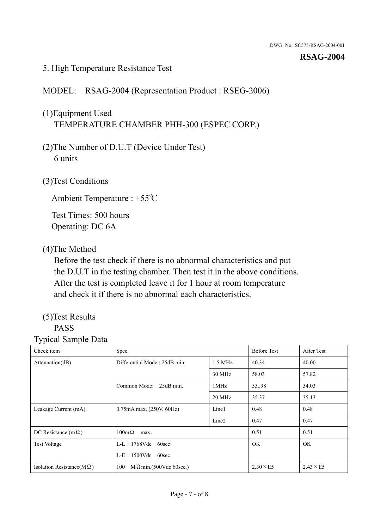#### 5. High Temperature Resistance Test

## MODEL: RSAG-2004 (Representation Product : RSEG-2006)

## (1)Equipment Used TEMPERATURE CHAMBER PHH-300 (ESPEC CORP.)

- (2)The Number of D.U.T (Device Under Test) 6 units
- (3)Test Conditions

Ambient Temperature : +55℃

Test Times: 500 hours Operating: DC 6A

#### (4)The Method

Before the test check if there is no abnormal characteristics and put the D.U.T in the testing chamber. Then test it in the above conditions. After the test is completed leave it for 1 hour at room temperature and check it if there is no abnormal each characteristics.

## (5)Test Results

## PASS

| Check item                        | Spec.                                     |                   | <b>Before Test</b> | After Test      |
|-----------------------------------|-------------------------------------------|-------------------|--------------------|-----------------|
| Attenuation(dB)                   | Differential Mode: 25dB min.<br>$1.5$ MHz |                   | 40.34              | 40.00           |
|                                   |                                           | 30 MHz            | 58.03              | 57.82           |
|                                   | Common Mode: 25dB min.                    | 1MHz              | 33.98              | 34.03           |
|                                   |                                           | 20 MHz            | 35.37              | 35.13           |
| Leakage Current (mA)              | 0.75mA max. (250V, 60Hz)                  | Line1             | 0.48               | 0.48            |
|                                   |                                           | Line <sub>2</sub> | 0.47               | 0.47            |
| DC Resistance (m $\Omega$ )       | $100 \text{m}\,\Omega$<br>max.            |                   | 0.51               | 0.51            |
| <b>Test Voltage</b>               | $L-L$ : 1768Vdc 60sec.                    |                   | OK.                | OK.             |
|                                   | $L-E$ : 1500Vdc 60sec.                    |                   |                    |                 |
| Isolation Resistance(M $\Omega$ ) | $M \Omega$ min.(500Vdc 60sec.)<br>100     |                   | $2.30\times E5$    | $2.43\times E5$ |